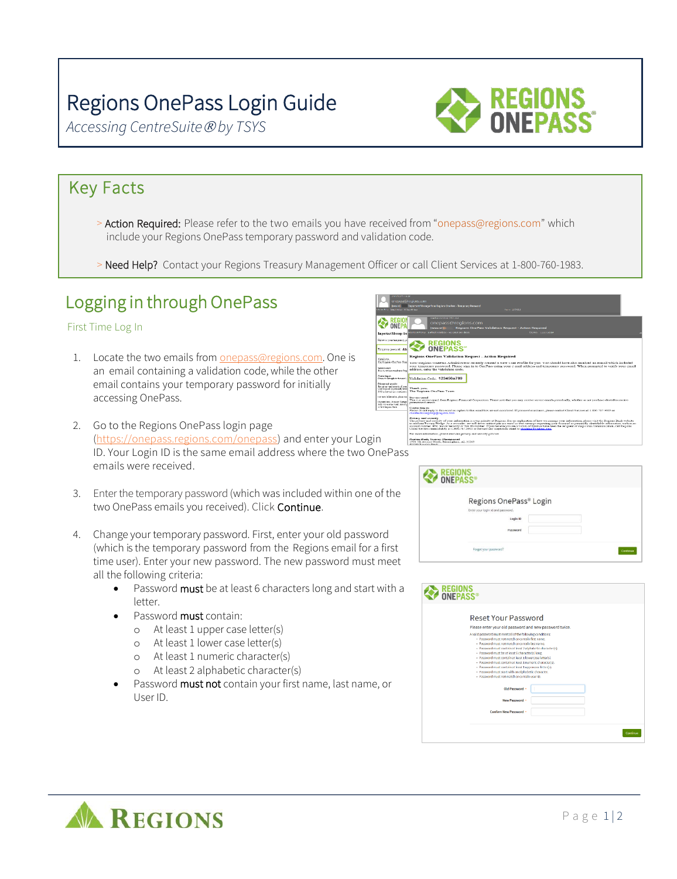# Regions OnePass Login Guide

*Accessing CentreSuite by TSYS*



#### Key Facts

- > Action Required: Please refer to the two emails you have received from "onepass@regions.com" which include your Regions OnePass temporary password and validation code.
- > Need Help? Contact your Regions Treasury Management Officer or call Client Services at 1-800-760-1983.

### Logging in through OnePass

#### First Time Log In

- 1. Locate the two emails from [onepass@regions.com.](mailto:onepass@regions.com.) One is an email containing a validation code, while the other email contains your temporary password for initially accessing OnePass.
- 2. Go to the Regions OnePass login page [\(https://onepass.regions.com/onepass\)](https://onepass.regions.com/onepass) and enter your Logi ID. Your Login ID is the same email address where the two OnePass emails were received.
- 3. Enter the temporary password (which was included within one of the two OnePass emails you received). Click Continue.
- 4. Change your temporary password. First, enter your old password (which is the temporary password from the Regions email for a first time user). Enter your new password. The new password must meet all the following criteria:
	- Password must be at least 6 characters long and start with a letter.
	- Password **must** contain:
		- o At least 1 upper case letter(s)
		- o At least 1 lower case letter(s)
		- o At least 1 numeric character(s)
		- o At least 2 alphabetic character(s)
	- Password must not contain your first name, last name, or User ID.

| <b>ONE APACAPALITIES</b><br>segure)<br>derive from Canadian by Do Den 60 dem                         | unepass@regions.com<br>Important Message from Regions OnePass - Temporary Password<br>tern 1207-2012                                                                                                                                                                                                                                                                                                                                                                                                                                                                                                                                                                      |
|------------------------------------------------------------------------------------------------------|---------------------------------------------------------------------------------------------------------------------------------------------------------------------------------------------------------------------------------------------------------------------------------------------------------------------------------------------------------------------------------------------------------------------------------------------------------------------------------------------------------------------------------------------------------------------------------------------------------------------------------------------------------------------------|
|                                                                                                      | West Businessing Trip And<br>onepass@regions.com<br>Regions OnePass Validation Reguest - Action Reguired<br><b>Secure1</b><br>lantica Pohoy - Dafault Analhoy - so Davis no days:<br>Dearres 12/17/2010                                                                                                                                                                                                                                                                                                                                                                                                                                                                   |
| <b>Important Message from</b>                                                                        |                                                                                                                                                                                                                                                                                                                                                                                                                                                                                                                                                                                                                                                                           |
| Reform in your temporary out<br>Tempreury procurent: ADC                                             | <b>REGIONS<br/>ONEPASS</b>                                                                                                                                                                                                                                                                                                                                                                                                                                                                                                                                                                                                                                                |
|                                                                                                      | <b>Regions OnePass Validation Request - Action Required</b>                                                                                                                                                                                                                                                                                                                                                                                                                                                                                                                                                                                                               |
| L'intelle vou.<br>The Regions OnePass Feam                                                           | Your Regions OnePass Administrator recently created a New User Profile for you. You should have also received an e-mail which included                                                                                                                                                                                                                                                                                                                                                                                                                                                                                                                                    |
| Newslett could<br>The reasonable envel from Bend                                                     | vour temporary password. Please sign in to OnePass using your e-mail address and temporary password. When prompted to verify your email<br>address, enter the validation code.                                                                                                                                                                                                                                                                                                                                                                                                                                                                                            |
| Contacting as                                                                                        | Prestremented and Validation Code: 123456a789                                                                                                                                                                                                                                                                                                                                                                                                                                                                                                                                                                                                                             |
| Privacy and security<br>The privacy and security of your in<br>veer financial or personally idean    | Thank you.<br>190 is favoritan species of The Reprisons One Press Teams                                                                                                                                                                                                                                                                                                                                                                                                                                                                                                                                                                                                   |
| Democràtiquator, place cod.<br><b>Ration Date, Instant Mesant</b><br>1920 vil. Avenue North, Himsty- | <b>Service canal</b><br>This is a section email from Regions Financial Connection. Please note that you moy receive service emails periodically, whether or not you have elected to receive<br>promotional ensuis.                                                                                                                                                                                                                                                                                                                                                                                                                                                        |
| C2119 Resume Rank                                                                                    | <b>Contacting</b> us<br>Please do not reoly to this email as replies to this censil box are not menitored. If you need assistance, please contact Clicat Services at 1,800-787-3905 or<br>clientservicesammodreanos com                                                                                                                                                                                                                                                                                                                                                                                                                                                   |
|                                                                                                      | Privacy and security<br>The privacy and security of your information is a too priority at Regions. For an explanation of how we manage your information, please visit the Regions Bank website<br>to read our Protocy Pledos. As a maximus, we will never contact you yis email or text message requesting your financial or personally identifiable information, such as an<br>account mapper. PIN: Social Security or Tax ID mapper. If you believe you are a victim of fraud or have been the recipient of sugarcious communication, call Regions.<br>Client Newtons immediately at 1-800-787-2005 or forward any sensitivistics canall to elabricate diversions roun. |
|                                                                                                      | For more information, please read our privacy and security policies                                                                                                                                                                                                                                                                                                                                                                                                                                                                                                                                                                                                       |
|                                                                                                      | Reutions Bunk, Treasury Management,<br>1900 5th Avenue North, Riemingham, AL 35203.<br><b>C2019 Resides Rack</b>                                                                                                                                                                                                                                                                                                                                                                                                                                                                                                                                                          |
| noDocc                                                                                               |                                                                                                                                                                                                                                                                                                                                                                                                                                                                                                                                                                                                                                                                           |

| <b>REGIONS</b><br><b>ONEPASS®</b> |                                                                                                              |  |          |
|-----------------------------------|--------------------------------------------------------------------------------------------------------------|--|----------|
|                                   | Regions OnePass® Login<br>Enter your login id and password.<br>Login ID<br>Password<br>Forgot your password? |  | Continue |